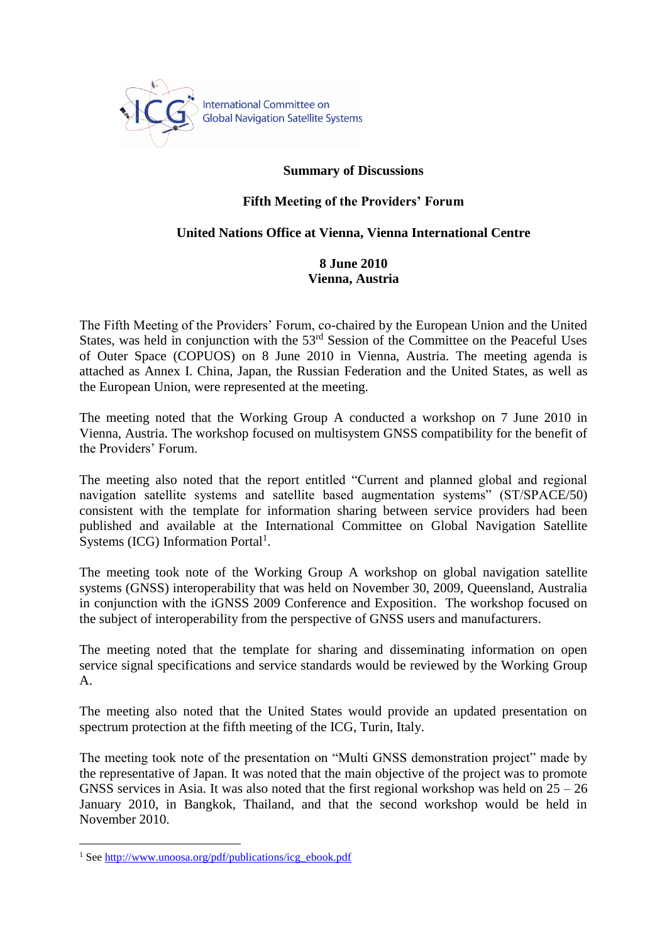

## **Summary of Discussions**

## **Fifth Meeting of the Providers' Forum**

## **United Nations Office at Vienna, Vienna International Centre**

## **8 June 2010 Vienna, Austria**

The Fifth Meeting of the Providers' Forum, co-chaired by the European Union and the United States, was held in conjunction with the 53<sup>rd</sup> Session of the Committee on the Peaceful Uses of Outer Space (COPUOS) on 8 June 2010 in Vienna, Austria. The meeting agenda is attached as Annex I. China, Japan, the Russian Federation and the United States, as well as the European Union, were represented at the meeting.

The meeting noted that the Working Group A conducted a workshop on 7 June 2010 in Vienna, Austria. The workshop focused on multisystem GNSS compatibility for the benefit of the Providers' Forum.

The meeting also noted that the report entitled "Current and planned global and regional navigation satellite systems and satellite based augmentation systems" (ST/SPACE/50) consistent with the template for information sharing between service providers had been published and available at the International Committee on Global Navigation Satellite Systems (ICG) Information Portal<sup>1</sup>.

The meeting took note of the Working Group A workshop on global navigation satellite systems (GNSS) interoperability that was held on November 30, 2009, Queensland, Australia in conjunction with the iGNSS 2009 Conference and Exposition. The workshop focused on the subject of interoperability from the perspective of GNSS users and manufacturers.

The meeting noted that the template for sharing and disseminating information on open service signal specifications and service standards would be reviewed by the Working Group A.

The meeting also noted that the United States would provide an updated presentation on spectrum protection at the fifth meeting of the ICG, Turin, Italy.

The meeting took note of the presentation on "Multi GNSS demonstration project" made by the representative of Japan. It was noted that the main objective of the project was to promote GNSS services in Asia. It was also noted that the first regional workshop was held on  $25 - 26$ January 2010, in Bangkok, Thailand, and that the second workshop would be held in November 2010.

 $\overline{a}$ 

<sup>&</sup>lt;sup>1</sup> Se[e http://www.unoosa.org/pdf/publications/icg\\_ebook.pdf](http://www.unoosa.org/pdf/publications/icg_ebook.pdf)